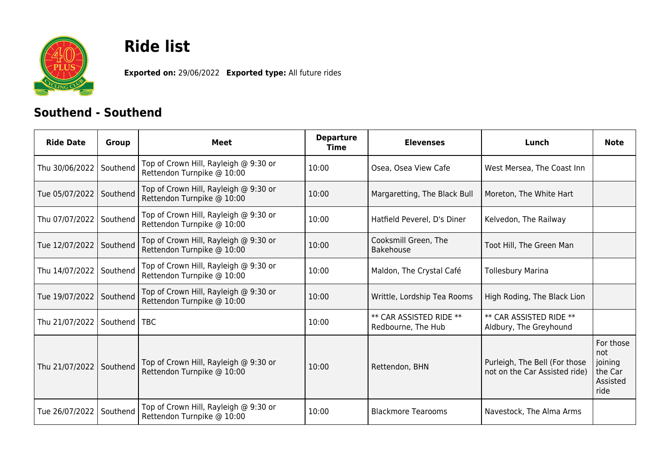

## **Ride list**

**Exported on:** 29/06/2022 **Exported type:** All future rides

## **Southend - Southend**

| <b>Ride Date</b> | <b>Group</b> | Meet                                                                | <b>Departure</b><br><b>Time</b> | <b>Elevenses</b>                                     | Lunch                                                          | <b>Note</b>                                                |
|------------------|--------------|---------------------------------------------------------------------|---------------------------------|------------------------------------------------------|----------------------------------------------------------------|------------------------------------------------------------|
| Thu 30/06/2022   | Southend     | Top of Crown Hill, Rayleigh @ 9:30 or<br>Rettendon Turnpike @ 10:00 | 10:00                           | Osea, Osea View Cafe                                 | West Mersea, The Coast Inn                                     |                                                            |
| Tue 05/07/2022   | Southend     | Top of Crown Hill, Rayleigh @ 9:30 or<br>Rettendon Turnpike @ 10:00 | 10:00                           | Margaretting, The Black Bull                         | Moreton, The White Hart                                        |                                                            |
| Thu 07/07/2022   | Southend     | Top of Crown Hill, Rayleigh @ 9:30 or<br>Rettendon Turnpike @ 10:00 | 10:00                           | Hatfield Peverel, D's Diner                          | Kelvedon, The Railway                                          |                                                            |
| Tue 12/07/2022   | Southend     | Top of Crown Hill, Rayleigh @ 9:30 or<br>Rettendon Turnpike @ 10:00 | 10:00                           | Cooksmill Green, The<br><b>Bakehouse</b>             | Toot Hill, The Green Man                                       |                                                            |
| Thu 14/07/2022   | Southend     | Top of Crown Hill, Rayleigh @ 9:30 or<br>Rettendon Turnpike @ 10:00 | 10:00                           | Maldon, The Crystal Café                             | <b>Tollesbury Marina</b>                                       |                                                            |
| Tue 19/07/2022   | Southend     | Top of Crown Hill, Rayleigh @ 9:30 or<br>Rettendon Turnpike @ 10:00 | 10:00                           | Writtle, Lordship Tea Rooms                          | High Roding, The Black Lion                                    |                                                            |
| Thu 21/07/2022   | Southend     | <b>TBC</b>                                                          | 10:00                           | <b>** CAR ASSISTED RIDE **</b><br>Redbourne, The Hub | ** CAR ASSISTED RIDE **<br>Aldbury, The Greyhound              |                                                            |
| Thu 21/07/2022   | Southend     | Top of Crown Hill, Rayleigh @ 9:30 or<br>Rettendon Turnpike @ 10:00 | 10:00                           | Rettendon, BHN                                       | Purleigh, The Bell (For those<br>not on the Car Assisted ride) | For those<br>not<br>joining<br>the Car<br>Assisted<br>ride |
| Tue 26/07/2022   | Southend     | Top of Crown Hill, Rayleigh @ 9:30 or<br>Rettendon Turnpike @ 10:00 | 10:00                           | <b>Blackmore Tearooms</b>                            | Navestock, The Alma Arms                                       |                                                            |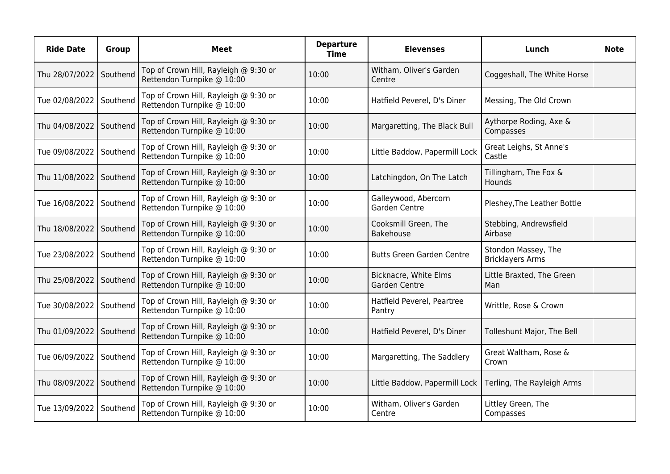| <b>Ride Date</b> | <b>Group</b> | <b>Meet</b>                                                         | <b>Departure</b><br><b>Time</b> | <b>Elevenses</b>                       | Lunch                                          | <b>Note</b> |
|------------------|--------------|---------------------------------------------------------------------|---------------------------------|----------------------------------------|------------------------------------------------|-------------|
| Thu 28/07/2022   | Southend     | Top of Crown Hill, Rayleigh @ 9:30 or<br>Rettendon Turnpike @ 10:00 | 10:00                           | Witham, Oliver's Garden<br>Centre      | Coggeshall, The White Horse                    |             |
| Tue 02/08/2022   | Southend     | Top of Crown Hill, Rayleigh @ 9:30 or<br>Rettendon Turnpike @ 10:00 | 10:00                           | Hatfield Peverel, D's Diner            | Messing, The Old Crown                         |             |
| Thu 04/08/2022   | Southend     | Top of Crown Hill, Rayleigh @ 9:30 or<br>Rettendon Turnpike @ 10:00 | 10:00                           | Margaretting, The Black Bull           | Aythorpe Roding, Axe &<br>Compasses            |             |
| Tue 09/08/2022   | Southend     | Top of Crown Hill, Rayleigh @ 9:30 or<br>Rettendon Turnpike @ 10:00 | 10:00                           | Little Baddow, Papermill Lock          | Great Leighs, St Anne's<br>Castle              |             |
| Thu 11/08/2022   | Southend     | Top of Crown Hill, Rayleigh @ 9:30 or<br>Rettendon Turnpike @ 10:00 | 10:00                           | Latchingdon, On The Latch              | Tillingham, The Fox &<br>Hounds                |             |
| Tue 16/08/2022   | Southend     | Top of Crown Hill, Rayleigh @ 9:30 or<br>Rettendon Turnpike @ 10:00 | 10:00                           | Galleywood, Abercorn<br>Garden Centre  | Pleshey, The Leather Bottle                    |             |
| Thu 18/08/2022   | Southend     | Top of Crown Hill, Rayleigh @ 9:30 or<br>Rettendon Turnpike @ 10:00 | 10:00                           | Cooksmill Green, The<br>Bakehouse      | Stebbing, Andrewsfield<br>Airbase              |             |
| Tue 23/08/2022   | Southend     | Top of Crown Hill, Rayleigh @ 9:30 or<br>Rettendon Turnpike @ 10:00 | 10:00                           | <b>Butts Green Garden Centre</b>       | Stondon Massey, The<br><b>Bricklayers Arms</b> |             |
| Thu 25/08/2022   | Southend     | Top of Crown Hill, Rayleigh @ 9:30 or<br>Rettendon Turnpike @ 10:00 | 10:00                           | Bicknacre, White Elms<br>Garden Centre | Little Braxted, The Green<br>Man               |             |
| Tue 30/08/2022   | Southend     | Top of Crown Hill, Rayleigh @ 9:30 or<br>Rettendon Turnpike @ 10:00 | 10:00                           | Hatfield Peverel, Peartree<br>Pantry   | Writtle, Rose & Crown                          |             |
| Thu 01/09/2022   | Southend     | Top of Crown Hill, Rayleigh @ 9:30 or<br>Rettendon Turnpike @ 10:00 | 10:00                           | Hatfield Peverel, D's Diner            | Tolleshunt Major, The Bell                     |             |
| Tue 06/09/2022   | Southend     | Top of Crown Hill, Rayleigh @ 9:30 or<br>Rettendon Turnpike @ 10:00 | 10:00                           | Margaretting, The Saddlery             | Great Waltham, Rose &<br>Crown                 |             |
| Thu 08/09/2022   | Southend     | Top of Crown Hill, Rayleigh @ 9:30 or<br>Rettendon Turnpike @ 10:00 | 10:00                           | Little Baddow, Papermill Lock          | Terling, The Rayleigh Arms                     |             |
| Tue 13/09/2022   | Southend     | Top of Crown Hill, Rayleigh @ 9:30 or<br>Rettendon Turnpike @ 10:00 | 10:00                           | Witham, Oliver's Garden<br>Centre      | Littley Green, The<br>Compasses                |             |